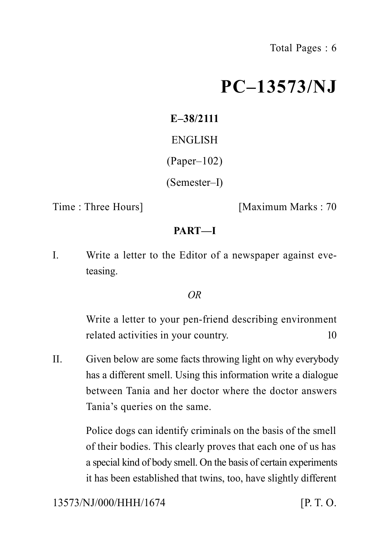# **PC–13573/NJ**

**E–38/2111** ENGLISH (Paper–102) (Semester–I)

Time : Three Hours] [Maximum Marks : 70

# **PART—I**

I. Write a letter to the Editor of a newspaper against eveteasing.

# *OR*

Write a letter to your pen-friend describing environment related activities in your country. 10

II. Given below are some facts throwing light on why everybody has a different smell. Using this information write a dialogue between Tania and her doctor where the doctor answers Tania's queries on the same.

> Police dogs can identify criminals on the basis of the smell of their bodies. This clearly proves that each one of us has a special kind of body smell. On the basis of certain experiments it has been established that twins, too, have slightly different

13573/NJ/000/HHH/1674 [P. T. O.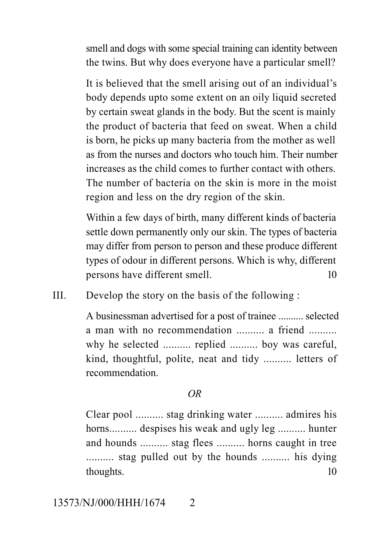smell and dogs with some special training can identity between the twins. But why does everyone have a particular smell?

It is believed that the smell arising out of an individual's body depends upto some extent on an oily liquid secreted by certain sweat glands in the body. But the scent is mainly the product of bacteria that feed on sweat. When a child is born, he picks up many bacteria from the mother as well as from the nurses and doctors who touch him. Their number increases as the child comes to further contact with others. The number of bacteria on the skin is more in the moist region and less on the dry region of the skin.

Within a few days of birth, many different kinds of bacteria settle down permanently only our skin. The types of bacteria may differ from person to person and these produce different types of odour in different persons. Which is why, different persons have different smell. 10

III. Develop the story on the basis of the following :

A businessman advertised for a post of trainee .......... selected a man with no recommendation .......... a friend .......... why he selected .......... replied .......... boy was careful, kind, thoughtful, polite, neat and tidy .......... letters of recommendation.

### *OR*

Clear pool .......... stag drinking water .......... admires his horns.......... despises his weak and ugly leg .......... hunter and hounds .......... stag flees .......... horns caught in tree .......... stag pulled out by the hounds .......... his dying thoughts. 10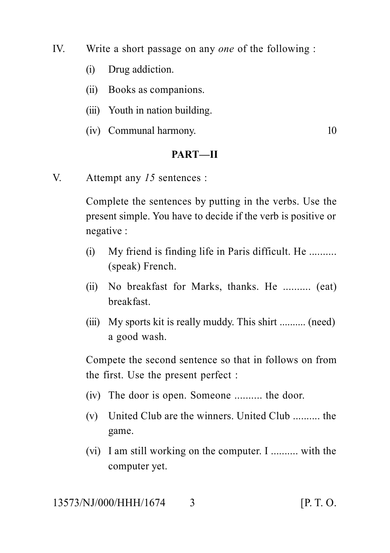- IV. Write a short passage on any *one* of the following :
	- (i) Drug addiction.
	- (ii) Books as companions.
	- (iii) Youth in nation building.
	- (iv) Communal harmony. 10

### **PART—II**

V. Attempt any *15* sentences :

Complete the sentences by putting in the verbs. Use the present simple. You have to decide if the verb is positive or negative :

- (i) My friend is finding life in Paris difficult. He .......... (speak) French.
- (ii) No breakfast for Marks, thanks. He .......... (eat) breakfast.
- (iii) My sports kit is really muddy. This shirt .......... (need) a good wash.

Compete the second sentence so that in follows on from the first. Use the present perfect :

- (iv) The door is open. Someone .......... the door.
- (v) United Club are the winners. United Club .......... the game.
- (vi) I am still working on the computer. I .......... with the computer yet.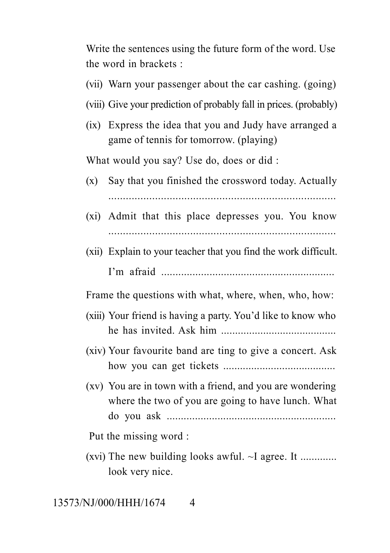Write the sentences using the future form of the word. Use the word in brackets :

- (vii) Warn your passenger about the car cashing. (going)
- (viii) Give your prediction of probably fall in prices. (probably)
- (ix) Express the idea that you and Judy have arranged a game of tennis for tomorrow. (playing)

What would you say? Use do, does or did :

- (x) Say that you finished the crossword today. Actually ..............................................................................
- (xi) Admit that this place depresses you. You know ..............................................................................
- (xii) Explain to your teacher that you find the work difficult. I'm afraid .............................................................

Frame the questions with what, where, when, who, how:

- (xiii) Your friend is having a party. You'd like to know who he has invited. Ask him .........................................
- (xiv) Your favourite band are ting to give a concert. Ask how you can get tickets ........................................
- (xv) You are in town with a friend, and you are wondering where the two of you are going to have lunch. What do you ask ............................................................

Put the missing word :

(xvi) The new building looks awful.  $\sim$ I agree. It ............. look very nice.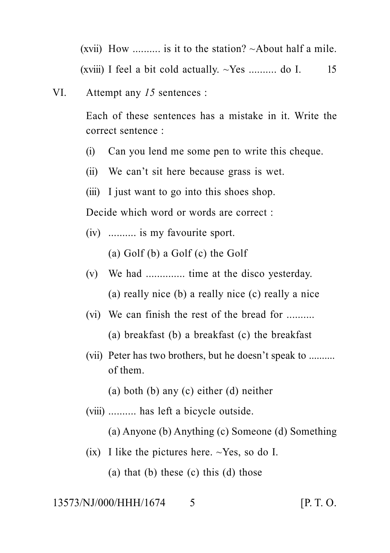(xvii) How  $\ldots$  is it to the station?  $\sim$  About half a mile. (xviii) I feel a bit cold actually.  $\sim$ Yes .......... do I. 15

VI. Attempt any *15* sentences :

Each of these sentences has a mistake in it. Write the correct sentence :

- (i) Can you lend me some pen to write this cheque.
- (ii) We can't sit here because grass is wet.
- (iii) I just want to go into this shoes shop.

Decide which word or words are correct :

(iv) .......... is my favourite sport.

(a) Golf (b) a Golf (c) the Golf

- (v) We had .............. time at the disco yesterday. (a) really nice (b) a really nice (c) really a nice
- (vi) We can finish the rest of the bread for

(a) breakfast (b) a breakfast (c) the breakfast

(vii) Peter has two brothers, but he doesn't speak to .......... of them.

(a) both (b) any (c) either (d) neither

(viii) .......... has left a bicycle outside.

(a) Anyone (b) Anything (c) Someone (d) Something

(ix) I like the pictures here.  $\sim$ Yes, so do I.

(a) that (b) these (c) this (d) those